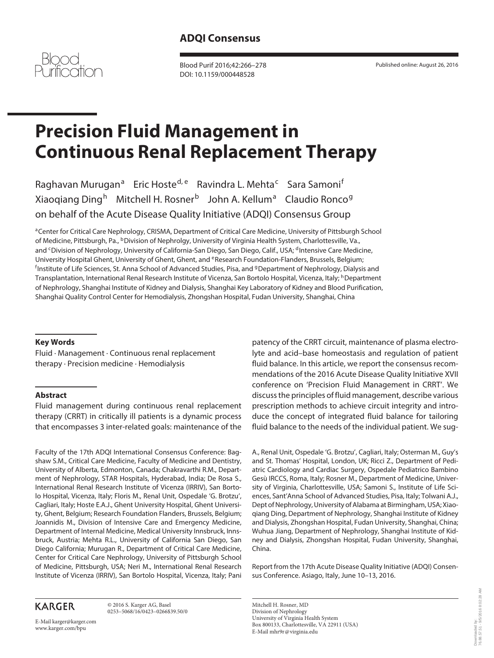

 Blood Purif 2016;42:266–278 DOI: 10.1159/000448528

Published online: August 26, 2016

# **Precision Fluid Management in Continuous Renal Replacement Therapy**

Raghavan Murugan<sup>a</sup> Eric Hoste<sup>d, e</sup> Ravindra L. Mehta<sup>c</sup> Sara Samoni<sup>f</sup> Xiaoqiang Ding<sup>h</sup> Mitchell H. Rosner<sup>b</sup> John A. Kellum<sup>a</sup> Claudio Ronco<sup>g</sup> on behalf of the Acute Disease Quality Initiative (ADQI) Consensus Group

a Center for Critical Care Nephrology, CRISMA, Department of Critical Care Medicine, University of Pittsburgh School of Medicine, Pittsburgh, Pa., <sup>b</sup> Division of Nephrolgy, University of Virginia Health System, Charlottesville, Va., and <sup>c</sup> Division of Nephrology, University of California-San Diego, San Diego, Calif., USA; <sup>d</sup> Intensive Care Medicine, University Hospital Ghent, University of Ghent, Ghent, and <sup>e</sup> Research Foundation-Flanders, Brussels, Belgium; <sup>f</sup> Institute of Life Sciences, St. Anna School of Advanced Studies, Pisa, and <sup>g</sup> Department of Nephrology, Dialysis and Transplantation, International Renal Research Institute of Vicenza, San Bortolo Hospital, Vicenza, Italy; h Department of Nephrology, Shanghai Institute of Kidney and Dialysis, Shanghai Key Laboratory of Kidney and Blood Purification, Shanghai Quality Control Center for Hemodialysis, Zhongshan Hospital, Fudan University, Shanghai, China

## **Key Words**

 Fluid · Management · Continuous renal replacement therapy · Precision medicine · Hemodialysis

## **Abstract**

 Fluid management during continuous renal replacement therapy (CRRT) in critically ill patients is a dynamic process that encompasses 3 inter-related goals: maintenance of the

 Faculty of the 17th ADQI International Consensus Conference: Bagshaw S.M., Critical Care Medicine, Faculty of Medicine and Dentistry, University of Alberta, Edmonton, Canada; Chakravarthi R.M., Department of Nephrology, STAR Hospitals, Hyderabad, India; De Rosa S., International Renal Research Institute of Vicenza (IRRIV), San Bortolo Hospital, Vicenza, Italy; Floris M., Renal Unit, Ospedale 'G. Brotzu', Cagliari, Italy; Hoste E.A.J., Ghent University Hospital, Ghent University, Ghent, Belgium; Research Foundation Flanders, Brussels, Belgium; Joannidis M., Division of Intensive Care and Emergency Medicine, Department of Internal Medicine, Medical University Innsbruck, Innsbruck, Austria; Mehta R.L., University of California San Diego, San Diego California; Murugan R., Department of Critical Care Medicine, Center for Critical Care Nephrology, University of Pittsburgh School of Medicine, Pittsburgh, USA; Neri M., International Renal Research Institute of Vicenza (IRRIV), San Bortolo Hospital, Vicenza, Italy; Pani

# **KARGER**

 © 2016 S. Karger AG, Basel 0253–5068/16/0423–0266\$39.50/0

E-Mail karger@karger.com www.karger.com/bpu

patency of the CRRT circuit, maintenance of plasma electrolyte and acid–base homeostasis and regulation of patient fluid balance. In this article, we report the consensus recommendations of the 2016 Acute Disease Quality Initiative XVII conference on 'Precision Fluid Management in CRRT'. We discuss the principles of fluid management, describe various prescription methods to achieve circuit integrity and introduce the concept of integrated fluid balance for tailoring fluid balance to the needs of the individual patient. We sug-

A., Renal Unit, Ospedale 'G. Brotzu', Cagliari, Italy; Osterman M., Guy's and St. Thomas' Hospital, London, UK; Ricci Z., Department of Pediatric Cardiology and Cardiac Surgery, Ospedale Pediatrico Bambino Gesù IRCCS, Roma, Italy; Rosner M., Department of Medicine, University of Virginia, Charlottesville, USA; Samoni S., Institute of Life Sciences, Sant'Anna School of Advanced Studies, Pisa, Italy; Tolwani A.J., Dept of Nephrology, University of Alabama at Birmingham, USA; Xiaoqiang Ding, Department of Nephrology, Shanghai Institute of Kidney and Dialysis, Zhongshan Hospital, Fudan University, Shanghai, China; Wuhua Jiang, Department of Nephrology, Shanghai Institute of Kidney and Dialysis, Zhongshan Hospital, Fudan University, Shanghai, China.

Report from the 17th Acute Disease Quality Initiative (ADQI) Consensus Conference. Asiago, Italy, June 10–13, 2016.

> Downloaded by:<br>76.88.57.51 - 9/5/2016 8:02:28 AM 76.88.57.51 - 9/5/2016 8:02:28 AMDownloaded by:

 Mitchell H. Rosner, MD Division of Nephrology University of Virginia Health System Box 800133, Charlottesville, VA 22911 (USA) E-Mail mhr9r @ virginia.edu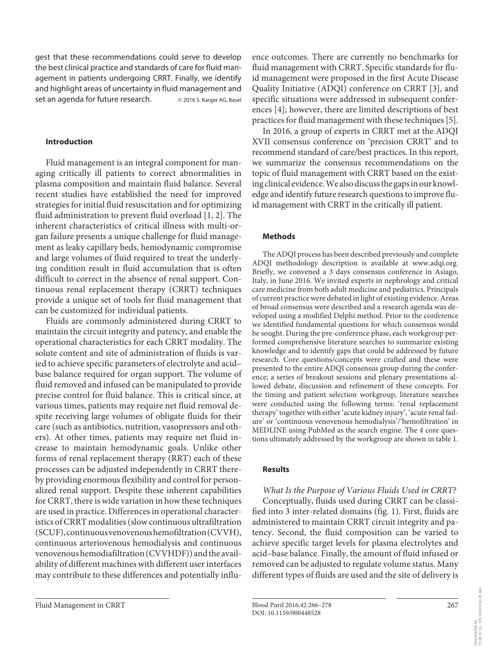gest that these recommendations could serve to develop the best clinical practice and standards of care for fluid management in patients undergoing CRRT. Finally, we identify and highlight areas of uncertainty in fluid management and set an agenda for future research.  $@ 2016 S.$  Karger AG, Basel

## **Introduction**

 Fluid management is an integral component for managing critically ill patients to correct abnormalities in plasma composition and maintain fluid balance. Several recent studies have established the need for improved strategies for initial fluid resuscitation and for optimizing fluid administration to prevent fluid overload [1, 2]. The inherent characteristics of critical illness with multi-organ failure presents a unique challenge for fluid management as leaky capillary beds, hemodynamic compromise and large volumes of fluid required to treat the underlying condition result in fluid accumulation that is often difficult to correct in the absence of renal support. Continuous renal replacement therapy (CRRT) techniques provide a unique set of tools for fluid management that can be customized for individual patients.

 Fluids are commonly administered during CRRT to maintain the circuit integrity and patency, and enable the operational characteristics for each CRRT modality. The solute content and site of administration of fluids is varied to achieve specific parameters of electrolyte and acid– base balance required for organ support. The volume of fluid removed and infused can be manipulated to provide precise control for fluid balance. This is critical since, at various times, patients may require net fluid removal despite receiving large volumes of obligate fluids for their care (such as antibiotics, nutrition, vasopressors and others). At other times, patients may require net fluid increase to maintain hemodynamic goals. Unlike other forms of renal replacement therapy (RRT) each of these processes can be adjusted independently in CRRT thereby providing enormous flexibility and control for personalized renal support. Despite these inherent capabilities for CRRT, there is wide variation in how these techniques are used in practice. Differences in operational characteristics of CRRT modalities (slow continuous ultrafiltration (SCUF), continuous venovenous hemofiltration (CVVH), continuous arteriovenous hemodialysis and continuous venovenous hemodiafiltration (CVVHDF)) and the availability of different machines with different user interfaces may contribute to these differences and potentially influence outcomes. There are currently no benchmarks for fluid management with CRRT. Specific standards for fluid management were proposed in the first Acute Disease Quality Initiative (ADQI) conference on CRRT [3], and specific situations were addressed in subsequent conferences [4]; however, there are limited descriptions of best practices for fluid management with these techniques [5] .

 In 2016, a group of experts in CRRT met at the ADQI XVII consensus conference on 'precision CRRT' and to recommend standard of care/best practices. In this report, we summarize the consensus recommendations on the topic of fluid management with CRRT based on the existing clinical evidence. We also discuss the gaps in our knowledge and identify future research questions to improve fluid management with CRRT in the critically ill patient.

## **Methods**

 The ADQI process has been described previously and complete ADQI methodology description is available at www.adqi.org. Briefly, we convened a 3 days consensus conference in Asiago, Italy, in June 2016. We invited experts in nephrology and critical care medicine from both adult medicine and pediatrics. Principals of current practice were debated in light of existing evidence. Areas of broad consensus were described and a research agenda was developed using a modified Delphi method. Prior to the conference we identified fundamental questions for which consensus would be sought. During the pre-conference phase, each workgroup performed comprehensive literature searches to summarize existing knowledge and to identify gaps that could be addressed by future research. Core questions/concepts were crafted and these were presented to the entire ADQI consensus group during the conference; a series of breakout sessions and plenary presentations allowed debate, discussion and refinement of these concepts. For the timing and patient selection workgroup, literature searches were conducted using the following terms: 'renal replacement therapy' together with either 'acute kidney injury', 'acute renal failure' or 'continuous venovenous hemodialysis'/'hemofiltration' in MEDLINE using PubMed as the search engine. The 4 core questions ultimately addressed by the workgroup are shown in table 1.

## **Results**

 *What Is the Purpose of Various Fluids Used in CRRT?*  Conceptually, fluids used during CRRT can be classified into 3 inter-related domains (fig. 1). First, fluids are administered to maintain CRRT circuit integrity and patency. Second, the fluid composition can be varied to achieve specific target levels for plasma electrolytes and acid–base balance. Finally, the amount of fluid infused or removed can be adjusted to regulate volume status. Many different types of fluids are used and the site of delivery is

Fluid Management in CRRT Blood Purif 2016;42:266-278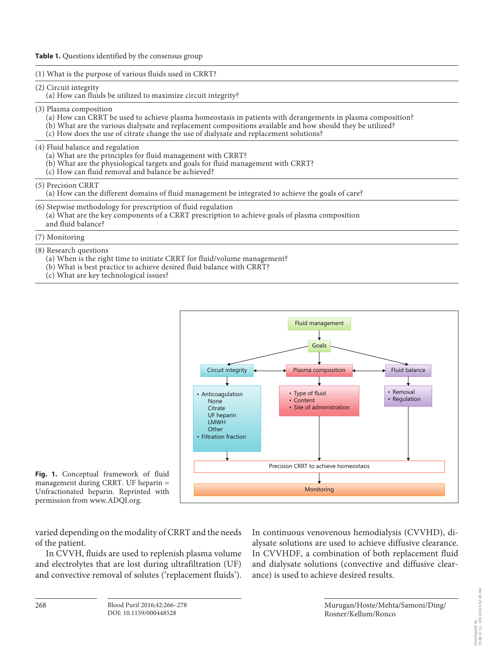Table 1. Questions identified by the consensus group

(1) What is the purpose of various fluids used in CRRT?

(2) Circuit integrity

(a) How can fluids be utilized to maximize circuit integrity?

- (3) Plasma composition
	- (a) How can CRRT be used to achieve plasma homeostasis in patients with derangements in plasma composition?
	- (b) What are the various dialysate and replacement compositions available and how should they be utilized?
	- (c) How does the use of citrate change the use of dialysate and replacement solutions?

#### (4) Fluid balance and regulation

- (a) What are the principles for fluid management with CRRT?
- (b) What are the physiological targets and goals for fluid management with CRRT?
- (c) How can fluid removal and balance be achieved?

(5) Precision CRRT

(a) How can the different domains of fluid management be integrated to achieve the goals of care?

(6) Stepwise methodology for prescription of fluid regulation (a) What are the key components of a CRRT prescription to achieve goals of plasma composition and fluid balance?

#### (7) Monitoring

(8) Research questions

- (a) When is the right time to initiate CRRT for fluid/volume management?
- (b) What is best practice to achieve desired fluid balance with CRRT?
- (c) What are key technological issues?



**Fig. 1.** Conceptual framework of fluid management during CRRT. UF heparin = Unfractionated heparin. Reprinted with permission from www.ADQI.org.

varied depending on the modality of CRRT and the needs of the patient.

 In CVVH, fluids are used to replenish plasma volume and electrolytes that are lost during ultrafiltration (UF) and convective removal of solutes ('replacement fluids').

In continuous venovenous hemodialysis (CVVHD), dialysate solutions are used to achieve diffusive clearance. In CVVHDF, a combination of both replacement fluid and dialysate solutions (convective and diffusive clearance) is used to achieve desired results.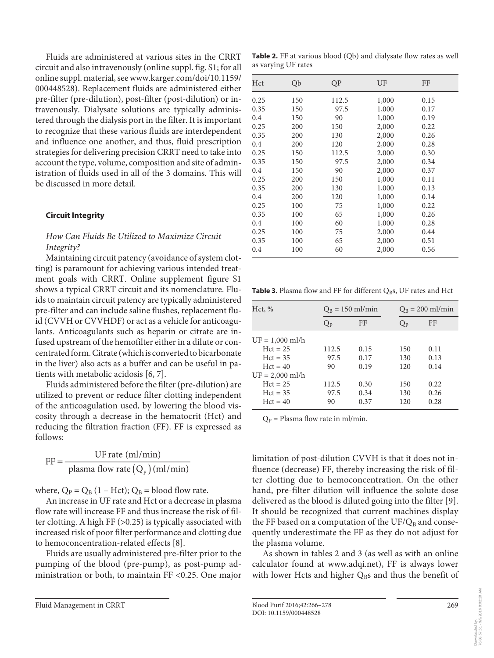Fluids are administered at various sites in the CRRT circuit and also intravenously (online suppl. fig. S1; for all online suppl. material, see www.karger.com/doi/10.1159/ 000448528). Replacement fluids are administered either pre-filter (pre-dilution), post-filter (post-dilution) or intravenously. Dialysate solutions are typically administered through the dialysis port in the filter. It is important to recognize that these various fluids are interdependent and influence one another, and thus, fluid prescription strategies for delivering precision CRRT need to take into account the type, volume, composition and site of administration of fluids used in all of the 3 domains. This will be discussed in more detail.

## **Circuit Integrity**

## *How Can Fluids Be Utilized to Maximize Circuit Integrity?*

 Maintaining circuit patency (avoidance of system clotting) is paramount for achieving various intended treatment goals with CRRT. Online supplement figure S1 shows a typical CRRT circuit and its nomenclature. Fluids to maintain circuit patency are typically administered pre-filter and can include saline flushes, replacement fluid (CVVH or CVVHDF) or act as a vehicle for anticoagulants. Anticoagulants such as heparin or citrate are infused upstream of the hemofilter either in a dilute or concentrated form. Citrate (which is converted to bicarbonate in the liver) also acts as a buffer and can be useful in patients with metabolic acidosis [6, 7] .

 Fluids administered before the filter (pre-dilution) are utilized to prevent or reduce filter clotting independent of the anticoagulation used, by lowering the blood viscosity through a decrease in the hematocrit (Hct) and reducing the filtration fraction (FF). FF is expressed as follows:

FF = 
$$
\frac{\text{UF rate (ml/min)}}{\text{plasma flow rate (Qp) (ml/min)}}
$$

where,  $Q_P = Q_B (1 - Hct)$ ;  $Q_B = blood flow rate$ .

 An increase in UF rate and Hct or a decrease in plasma flow rate will increase FF and thus increase the risk of filter clotting. A high FF (>0.25) is typically associated with increased risk of poor filter performance and clotting due to hemoconcentration-related effects [8].

 Fluids are usually administered pre-filter prior to the pumping of the blood (pre-pump), as post-pump administration or both, to maintain FF <0.25. One major

Table 2. FF at various blood (Qb) and dialysate flow rates as well as varying UF rates

| Hct  | Qb  | QP    | UF    | FF   |
|------|-----|-------|-------|------|
| 0.25 | 150 | 112.5 | 1,000 | 0.15 |
| 0.35 | 150 | 97.5  | 1,000 | 0.17 |
| 0.4  | 150 | 90    | 1,000 | 0.19 |
| 0.25 | 200 | 150   | 2,000 | 0.22 |
| 0.35 | 200 | 130   | 2,000 | 0.26 |
| 0.4  | 200 | 120   | 2,000 | 0.28 |
| 0.25 | 150 | 112.5 | 2,000 | 0.30 |
| 0.35 | 150 | 97.5  | 2,000 | 0.34 |
| 0.4  | 150 | 90    | 2,000 | 0.37 |
| 0.25 | 200 | 150   | 1,000 | 0.11 |
| 0.35 | 200 | 130   | 1,000 | 0.13 |
| 0.4  | 200 | 120   | 1,000 | 0.14 |
| 0.25 | 100 | 75    | 1,000 | 0.22 |
| 0.35 | 100 | 65    | 1,000 | 0.26 |
| 0.4  | 100 | 60    | 1,000 | 0.28 |
| 0.25 | 100 | 75    | 2,000 | 0.44 |
| 0.35 | 100 | 65    | 2,000 | 0.51 |
| 0.4  | 100 | 60    | 2,000 | 0.56 |

Table 3. Plasma flow and FF for different Q<sub>B</sub>s, UF rates and Hct

| Hct, %                              |                           | $Q_R = 150$ ml/min |                           | $Q_R = 200$ ml/min |  |  |
|-------------------------------------|---------------------------|--------------------|---------------------------|--------------------|--|--|
|                                     | $\mathsf{O}_{\mathbf{p}}$ | FF                 | $\mathsf{D}_{\mathbf{p}}$ | FF                 |  |  |
| $UF = 1,000$ ml/h                   |                           |                    |                           |                    |  |  |
| $Hct = 25$                          | 112.5                     | 0.15               | 150                       | 0.11               |  |  |
| $Hct = 35$                          | 97.5                      | 0.17               | 130                       | 0.13               |  |  |
| $Hct = 40$                          | 90                        | 0.19               | 120                       | 0.14               |  |  |
| $UF = 2,000$ ml/h                   |                           |                    |                           |                    |  |  |
| $Hct = 25$                          | 112.5                     | 0.30               | 150                       | 0.22               |  |  |
| $Hct = 35$                          | 97.5                      | 0.34               | 130                       | 0.26               |  |  |
| $Hct = 40$                          | 90                        | 0.37               | 120                       | 0.28               |  |  |
| $Q_p$ = Plasma flow rate in ml/min. |                           |                    |                           |                    |  |  |

limitation of post-dilution CVVH is that it does not influence (decrease) FF, thereby increasing the risk of filter clotting due to hemoconcentration. On the other hand, pre-filter dilution will influence the solute dose delivered as the blood is diluted going into the filter [9] . It should be recognized that current machines display the FF based on a computation of the  $UF/Q_B$  and consequently underestimate the FF as they do not adjust for the plasma volume.

 As shown in tables 2 and 3 (as well as with an online calculator found at www.adqi.net), FF is always lower with lower Hcts and higher  $Q_B s$  and thus the benefit of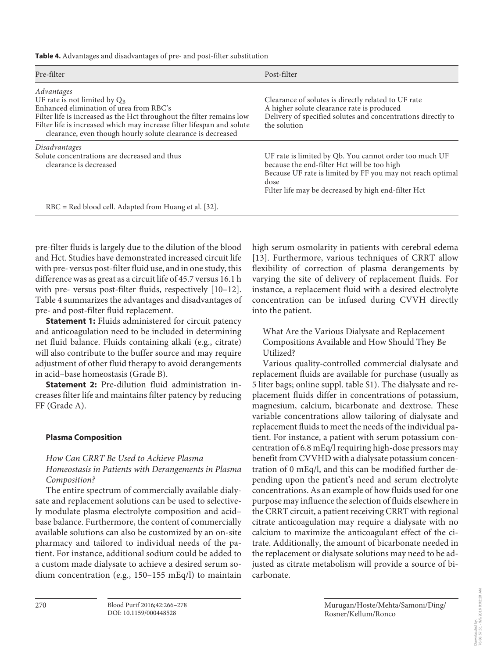**Table 4.** Advantages and disadvantages of pre- and post-filter substitution

| Pre-filter                                                                                                                                                                                                                                                                                                 | Post-filter                                                                                                                                                                                                                        |
|------------------------------------------------------------------------------------------------------------------------------------------------------------------------------------------------------------------------------------------------------------------------------------------------------------|------------------------------------------------------------------------------------------------------------------------------------------------------------------------------------------------------------------------------------|
| Advantages<br>UF rate is not limited by $Q_B$<br>Enhanced elimination of urea from RBC's<br>Filter life is increased as the Hct throughout the filter remains low<br>Filter life is increased which may increase filter lifespan and solute<br>clearance, even though hourly solute clearance is decreased | Clearance of solutes is directly related to UF rate<br>A higher solute clearance rate is produced<br>Delivery of specified solutes and concentrations directly to<br>the solution                                                  |
| <i>Disadvantages</i><br>Solute concentrations are decreased and thus<br>clearance is decreased                                                                                                                                                                                                             | UF rate is limited by Qb. You cannot order too much UF<br>because the end-filter Hct will be too high<br>Because UF rate is limited by FF you may not reach optimal<br>dose<br>Filter life may be decreased by high end-filter Hct |
| RBC = Red blood cell. Adapted from Huang et al. [32].                                                                                                                                                                                                                                                      |                                                                                                                                                                                                                                    |

pre-filter fluids is largely due to the dilution of the blood and Hct. Studies have demonstrated increased circuit life with pre- versus post-filter fluid use, and in one study, this difference was as great as a circuit life of 45.7 versus 16.1 h with pre- versus post-filter fluids, respectively [10-12]. Table 4 summarizes the advantages and disadvantages of pre- and post-filter fluid replacement.

**Statement 1:** Fluids administered for circuit patency and anticoagulation need to be included in determining net fluid balance. Fluids containing alkali (e.g., citrate) will also contribute to the buffer source and may require adjustment of other fluid therapy to avoid derangements in acid–base homeostasis (Grade B).

**Statement 2:** Pre-dilution fluid administration increases filter life and maintains filter patency by reducing FF (Grade A).

# **Plasma Composition**

 *How Can CRRT Be Used to Achieve Plasma* 

*Homeostasis in Patients with Derangements in Plasma Composition?* 

 The entire spectrum of commercially available dialysate and replacement solutions can be used to selectively modulate plasma electrolyte composition and acid– base balance. Furthermore, the content of commercially available solutions can also be customized by an on-site pharmacy and tailored to individual needs of the patient. For instance, additional sodium could be added to a custom made dialysate to achieve a desired serum sodium concentration (e.g., 150–155 mEq/l) to maintain

high serum osmolarity in patients with cerebral edema [13]. Furthermore, various techniques of CRRT allow flexibility of correction of plasma derangements by varying the site of delivery of replacement fluids. For instance, a replacement fluid with a desired electrolyte concentration can be infused during CVVH directly into the patient.

 What Are the Various Dialysate and Replacement Compositions Available and How Should They Be Utilized?

 Various quality-controlled commercial dialysate and replacement fluids are available for purchase (usually as 5 liter bags; online suppl. table S1). The dialysate and replacement fluids differ in concentrations of potassium, magnesium, calcium, bicarbonate and dextrose. These variable concentrations allow tailoring of dialysate and replacement fluids to meet the needs of the individual patient. For instance, a patient with serum potassium concentration of 6.8 mEq/l requiring high-dose pressors may benefit from CVVHD with a dialysate potassium concentration of 0 mEq/l, and this can be modified further depending upon the patient's need and serum electrolyte concentrations. As an example of how fluids used for one purpose may influence the selection of fluids elsewhere in the CRRT circuit, a patient receiving CRRT with regional citrate anticoagulation may require a dialysate with no calcium to maximize the anticoagulant effect of the citrate. Additionally, the amount of bicarbonate needed in the replacement or dialysate solutions may need to be adjusted as citrate metabolism will provide a source of bicarbonate.

Murugan/Hoste/Mehta/Samoni/Ding/

Rosner/Kellum/Ronco

76.88.57.51 - 9/5/2016 8:02:28 AM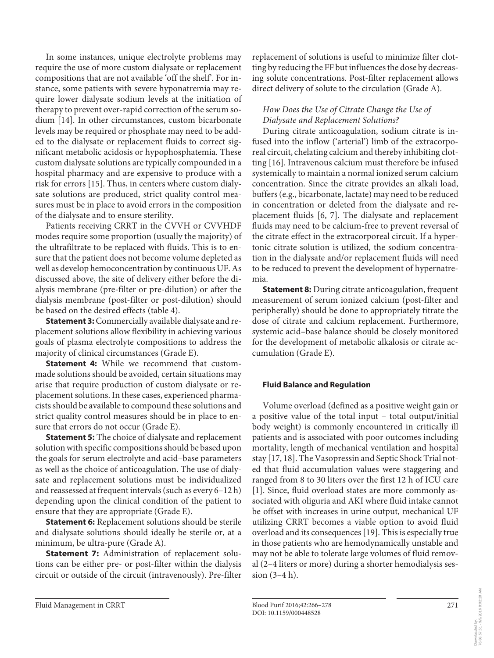In some instances, unique electrolyte problems may require the use of more custom dialysate or replacement compositions that are not available 'off the shelf'. For instance, some patients with severe hyponatremia may require lower dialysate sodium levels at the initiation of therapy to prevent over-rapid correction of the serum sodium [14]. In other circumstances, custom bicarbonate levels may be required or phosphate may need to be added to the dialysate or replacement fluids to correct significant metabolic acidosis or hypophosphatemia. These custom dialysate solutions are typically compounded in a hospital pharmacy and are expensive to produce with a risk for errors [15]. Thus, in centers where custom dialysate solutions are produced, strict quality control measures must be in place to avoid errors in the composition of the dialysate and to ensure sterility.

 Patients receiving CRRT in the CVVH or CVVHDF modes require some proportion (usually the majority) of the ultrafiltrate to be replaced with fluids. This is to ensure that the patient does not become volume depleted as well as develop hemoconcentration by continuous UF. As discussed above, the site of delivery either before the dialysis membrane (pre-filter or pre-dilution) or after the dialysis membrane (post-filter or post-dilution) should be based on the desired effects (table 4).

**Statement 3:** Commercially available dialysate and replacement solutions allow flexibility in achieving various goals of plasma electrolyte compositions to address the majority of clinical circumstances (Grade E).

**Statement 4:** While we recommend that custommade solutions should be avoided, certain situations may arise that require production of custom dialysate or replacement solutions. In these cases, experienced pharmacists should be available to compound these solutions and strict quality control measures should be in place to ensure that errors do not occur (Grade E).

**Statement 5:** The choice of dialysate and replacement solution with specific compositions should be based upon the goals for serum electrolyte and acid–base parameters as well as the choice of anticoagulation. The use of dialysate and replacement solutions must be individualized and reassessed at frequent intervals (such as every 6–12 h) depending upon the clinical condition of the patient to ensure that they are appropriate (Grade E).

**Statement 6:** Replacement solutions should be sterile and dialysate solutions should ideally be sterile or, at a minimum, be ultra-pure (Grade A).

**Statement 7:** Administration of replacement solutions can be either pre- or post-filter within the dialysis circuit or outside of the circuit (intravenously). Pre-filter replacement of solutions is useful to minimize filter clotting by reducing the FF but influences the dose by decreasing solute concentrations. Post-filter replacement allows direct delivery of solute to the circulation (Grade A).

# *How Does the Use of Citrate Change the Use of Dialysate and Replacement Solutions?*

 During citrate anticoagulation, sodium citrate is infused into the inflow ('arterial') limb of the extracorporeal circuit, chelating calcium and thereby inhibiting clotting [16]. Intravenous calcium must therefore be infused systemically to maintain a normal ionized serum calcium concentration. Since the citrate provides an alkali load, buffers (e.g., bicarbonate, lactate) may need to be reduced in concentration or deleted from the dialysate and replacement fluids [6, 7]. The dialysate and replacement fluids may need to be calcium-free to prevent reversal of the citrate effect in the extracorporeal circuit. If a hypertonic citrate solution is utilized, the sodium concentration in the dialysate and/or replacement fluids will need to be reduced to prevent the development of hypernatremia.

**Statement 8:** During citrate anticoagulation, frequent measurement of serum ionized calcium (post-filter and peripherally) should be done to appropriately titrate the dose of citrate and calcium replacement. Furthermore, systemic acid–base balance should be closely monitored for the development of metabolic alkalosis or citrate accumulation (Grade E).

## **Fluid Balance and Regulation**

 Volume overload (defined as a positive weight gain or a positive value of the total input – total output/initial body weight) is commonly encountered in critically ill patients and is associated with poor outcomes including mortality, length of mechanical ventilation and hospital stay [17, 18] . The Vasopressin and Septic Shock Trial noted that fluid accumulation values were staggering and ranged from 8 to 30 liters over the first 12 h of ICU care [1]. Since, fluid overload states are more commonly associated with oliguria and AKI where fluid intake cannot be offset with increases in urine output, mechanical UF utilizing CRRT becomes a viable option to avoid fluid overload and its consequences [19] . This is especially true in those patients who are hemodynamically unstable and may not be able to tolerate large volumes of fluid removal (2–4 liters or more) during a shorter hemodialysis session (3–4 h).

Fluid Management in CRRT Blood Purif 2016;42:266-278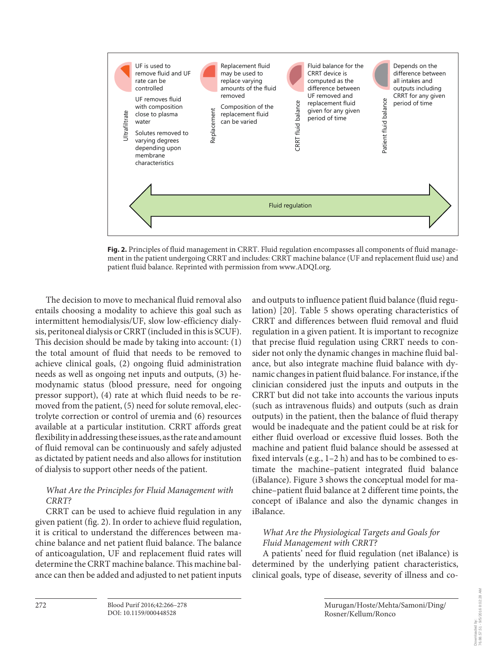

**Fig. 2.** Principles of fluid management in CRRT. Fluid regulation encompasses all components of fluid management in the patient undergoing CRRT and includes: CRRT machine balance (UF and replacement fluid use) and patient fluid balance. Reprinted with permission from www.ADQI.org.

 The decision to move to mechanical fluid removal also entails choosing a modality to achieve this goal such as intermittent hemodialysis/UF, slow low-efficiency dialysis, peritoneal dialysis or CRRT (included in this is SCUF). This decision should be made by taking into account: (1) the total amount of fluid that needs to be removed to achieve clinical goals, (2) ongoing fluid administration needs as well as ongoing net inputs and outputs, (3) hemodynamic status (blood pressure, need for ongoing pressor support), (4) rate at which fluid needs to be removed from the patient, (5) need for solute removal, electrolyte correction or control of uremia and (6) resources available at a particular institution. CRRT affords great flexibility in addressing these issues, as the rate and amount of fluid removal can be continuously and safely adjusted as dictated by patient needs and also allows for institution of dialysis to support other needs of the patient.

# *What Are the Principles for Fluid Management with CRRT?*

 CRRT can be used to achieve fluid regulation in any given patient (fig. 2). In order to achieve fluid regulation, it is critical to understand the differences between machine balance and net patient fluid balance. The balance of anticoagulation, UF and replacement fluid rates will determine the CRRT machine balance. This machine balance can then be added and adjusted to net patient inputs

and outputs to influence patient fluid balance (fluid regulation) [20]. Table 5 shows operating characteristics of CRRT and differences between fluid removal and fluid regulation in a given patient. It is important to recognize that precise fluid regulation using CRRT needs to consider not only the dynamic changes in machine fluid balance, but also integrate machine fluid balance with dynamic changes in patient fluid balance. For instance, if the clinician considered just the inputs and outputs in the CRRT but did not take into accounts the various inputs (such as intravenous fluids) and outputs (such as drain outputs) in the patient, then the balance of fluid therapy would be inadequate and the patient could be at risk for either fluid overload or excessive fluid losses. Both the machine and patient fluid balance should be assessed at fixed intervals (e.g., 1–2 h) and has to be combined to estimate the machine–patient integrated fluid balance (iBalance). Figure 3 shows the conceptual model for machine–patient fluid balance at 2 different time points, the concept of iBalance and also the dynamic changes in iBalance.

# *What Are the Physiological Targets and Goals for Fluid Management with CRRT?*

 A patients' need for fluid regulation (net iBalance) is determined by the underlying patient characteristics, clinical goals, type of disease, severity of illness and co-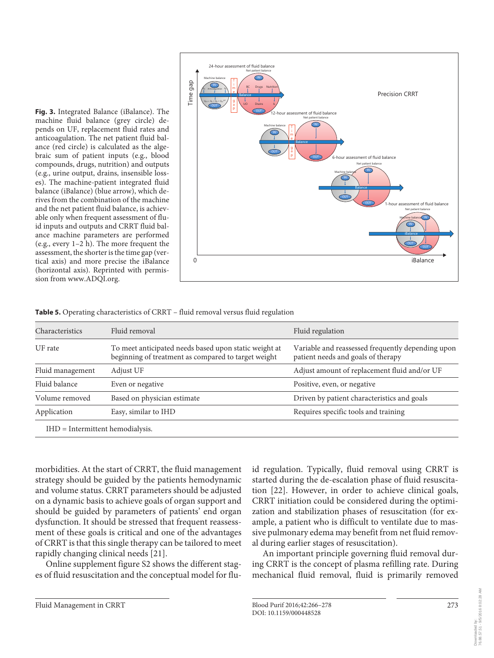

**Fig. 3.** Integrated Balance (iBalance). The machine fluid balance (grey circle) depends on UF, replacement fluid rates and anticoagulation. The net patient fluid balance (red circle) is calculated as the algebraic sum of patient inputs (e.g., blood compounds, drugs, nutrition) and outputs (e.g., urine output, drains, insensible losses). The machine-patient integrated fluid balance (iBalance) (blue arrow), which derives from the combination of the machine and the net patient fluid balance, is achievable only when frequent assessment of fluid inputs and outputs and CRRT fluid balance machine parameters are performed (e.g., every 1–2 h). The more frequent the assessment, the shorter is the time gap (vertical axis) and more precise the iBalance (horizontal axis). Reprinted with permission from www.ADQI.org.

|  | Table 5. Operating characteristics of CRRT - fluid removal versus fluid regulation |  |  |  |  |
|--|------------------------------------------------------------------------------------|--|--|--|--|
|  |                                                                                    |  |  |  |  |

| Characteristics                    | Fluid removal                                                                                                | Fluid regulation                                                                        |  |  |  |
|------------------------------------|--------------------------------------------------------------------------------------------------------------|-----------------------------------------------------------------------------------------|--|--|--|
| UF rate                            | To meet anticipated needs based upon static weight at<br>beginning of treatment as compared to target weight | Variable and reassessed frequently depending upon<br>patient needs and goals of therapy |  |  |  |
| Fluid management                   | Adjust UF                                                                                                    | Adjust amount of replacement fluid and/or UF                                            |  |  |  |
| Fluid balance                      | Even or negative                                                                                             | Positive, even, or negative                                                             |  |  |  |
| Volume removed                     | Based on physician estimate                                                                                  | Driven by patient characteristics and goals                                             |  |  |  |
| Application                        | Easy, similar to IHD                                                                                         | Requires specific tools and training                                                    |  |  |  |
| $IHD = Internittent hemodialysis.$ |                                                                                                              |                                                                                         |  |  |  |

morbidities. At the start of CRRT, the fluid management strategy should be guided by the patients hemodynamic and volume status. CRRT parameters should be adjusted on a dynamic basis to achieve goals of organ support and should be guided by parameters of patients' end organ dysfunction. It should be stressed that frequent reassessment of these goals is critical and one of the advantages of CRRT is that this single therapy can be tailored to meet rapidly changing clinical needs [21] .

 Online supplement figure S2 shows the different stages of fluid resuscitation and the conceptual model for fluid regulation. Typically, fluid removal using CRRT is started during the de-escalation phase of fluid resuscitation [22]. However, in order to achieve clinical goals, CRRT initiation could be considered during the optimization and stabilization phases of resuscitation (for example, a patient who is difficult to ventilate due to massive pulmonary edema may benefit from net fluid removal during earlier stages of resuscitation).

 An important principle governing fluid removal during CRRT is the concept of plasma refilling rate. During mechanical fluid removal, fluid is primarily removed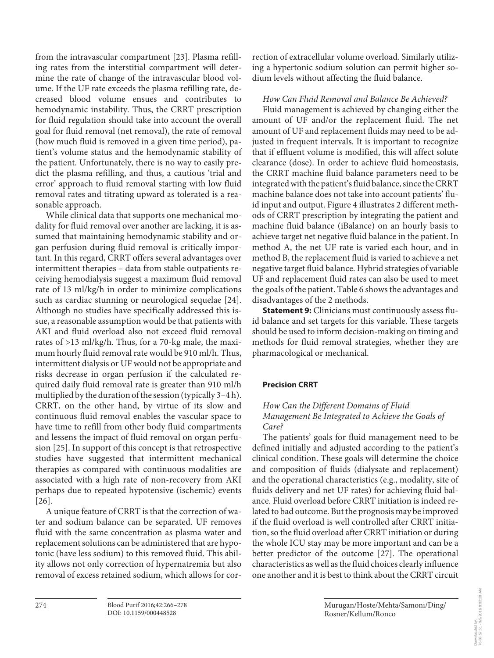from the intravascular compartment [23]. Plasma refilling rates from the interstitial compartment will determine the rate of change of the intravascular blood volume. If the UF rate exceeds the plasma refilling rate, decreased blood volume ensues and contributes to hemodynamic instability. Thus, the CRRT prescription for fluid regulation should take into account the overall goal for fluid removal (net removal), the rate of removal (how much fluid is removed in a given time period), patient's volume status and the hemodynamic stability of the patient. Unfortunately, there is no way to easily predict the plasma refilling, and thus, a cautious 'trial and error' approach to fluid removal starting with low fluid removal rates and titrating upward as tolerated is a reasonable approach.

 While clinical data that supports one mechanical modality for fluid removal over another are lacking, it is assumed that maintaining hemodynamic stability and organ perfusion during fluid removal is critically important. In this regard, CRRT offers several advantages over intermittent therapies – data from stable outpatients receiving hemodialysis suggest a maximum fluid removal rate of 13 ml/kg/h in order to minimize complications such as cardiac stunning or neurological sequelae [24] . Although no studies have specifically addressed this issue, a reasonable assumption would be that patients with AKI and fluid overload also not exceed fluid removal rates of >13 ml/kg/h. Thus, for a 70-kg male, the maximum hourly fluid removal rate would be 910 ml/h. Thus, intermittent dialysis or UF would not be appropriate and risks decrease in organ perfusion if the calculated required daily fluid removal rate is greater than 910 ml/h multiplied by the duration of the session (typically 3–4 h). CRRT, on the other hand, by virtue of its slow and continuous fluid removal enables the vascular space to have time to refill from other body fluid compartments and lessens the impact of fluid removal on organ perfusion [25]. In support of this concept is that retrospective studies have suggested that intermittent mechanical therapies as compared with continuous modalities are associated with a high rate of non-recovery from AKI perhaps due to repeated hypotensive (ischemic) events  $[26]$ .

 A unique feature of CRRT is that the correction of water and sodium balance can be separated. UF removes fluid with the same concentration as plasma water and replacement solutions can be administered that are hypotonic (have less sodium) to this removed fluid. This ability allows not only correction of hypernatremia but also removal of excess retained sodium, which allows for correction of extracellular volume overload. Similarly utilizing a hypertonic sodium solution can permit higher sodium levels without affecting the fluid balance.

# *How Can Fluid Removal and Balance Be Achieved?*

 Fluid management is achieved by changing either the amount of UF and/or the replacement fluid. The net amount of UF and replacement fluids may need to be adjusted in frequent intervals. It is important to recognize that if effluent volume is modified, this will affect solute clearance (dose). In order to achieve fluid homeostasis, the CRRT machine fluid balance parameters need to be integrated with the patient's fluid balance, since the CRRT machine balance does not take into account patients' fluid input and output. Figure 4 illustrates 2 different methods of CRRT prescription by integrating the patient and machine fluid balance (iBalance) on an hourly basis to achieve target net negative fluid balance in the patient. In method A, the net UF rate is varied each hour, and in method B, the replacement fluid is varied to achieve a net negative target fluid balance. Hybrid strategies of variable UF and replacement fluid rates can also be used to meet the goals of the patient. Table 6 shows the advantages and disadvantages of the 2 methods.

**Statement 9:** Clinicians must continuously assess fluid balance and set targets for this variable. These targets should be used to inform decision-making on timing and methods for fluid removal strategies, whether they are pharmacological or mechanical.

# **Precision CRRT**

# *How Can the Different Domains of Fluid Management Be Integrated to Achieve the Goals of Care?*

 The patients' goals for fluid management need to be defined initially and adjusted according to the patient's clinical condition. These goals will determine the choice and composition of fluids (dialysate and replacement) and the operational characteristics (e.g., modality, site of fluids delivery and net UF rates) for achieving fluid balance. Fluid overload before CRRT initiation is indeed related to bad outcome. But the prognosis may be improved if the fluid overload is well controlled after CRRT initiation, so the fluid overload after CRRT initiation or during the whole ICU stay may be more important and can be a better predictor of the outcome [27]. The operational characteristics as well as the fluid choices clearly influence one another and it is best to think about the CRRT circuit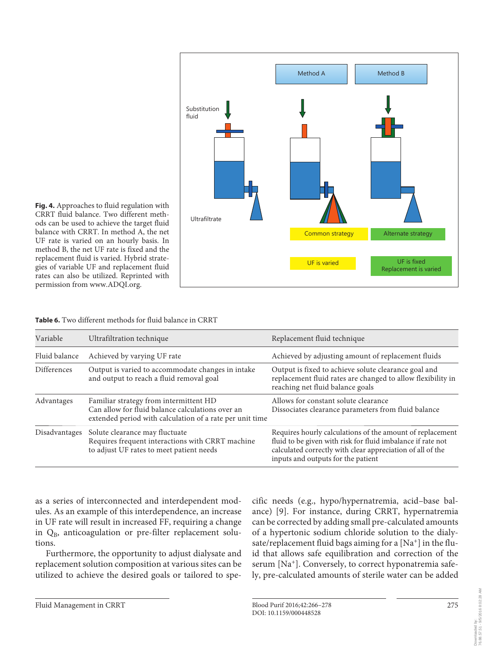

**Fig. 4.** Approaches to fluid regulation with CRRT fluid balance. Two different methods can be used to achieve the target fluid balance with CRRT. In method A, the net UF rate is varied on an hourly basis. In method B, the net UF rate is fixed and the replacement fluid is varied. Hybrid strategies of variable UF and replacement fluid rates can also be utilized. Reprinted with permission from www.ADQI.org.

|  | <b>Table 6.</b> Two different methods for fluid balance in CRRT |  |  |  |  |  |
|--|-----------------------------------------------------------------|--|--|--|--|--|
|--|-----------------------------------------------------------------|--|--|--|--|--|

| Variable      | Ultrafiltration technique                                                                                                                              | Replacement fluid technique                                                                                                                                                                                                  |
|---------------|--------------------------------------------------------------------------------------------------------------------------------------------------------|------------------------------------------------------------------------------------------------------------------------------------------------------------------------------------------------------------------------------|
| Fluid balance | Achieved by varying UF rate                                                                                                                            | Achieved by adjusting amount of replacement fluids                                                                                                                                                                           |
| Differences   | Output is varied to accommodate changes in intake<br>and output to reach a fluid removal goal                                                          | Output is fixed to achieve solute clearance goal and<br>replacement fluid rates are changed to allow flexibility in<br>reaching net fluid balance goals                                                                      |
| Advantages    | Familiar strategy from intermittent HD<br>Can allow for fluid balance calculations over an<br>extended period with calculation of a rate per unit time | Allows for constant solute clearance<br>Dissociates clearance parameters from fluid balance                                                                                                                                  |
| Disadvantages | Solute clearance may fluctuate<br>Requires frequent interactions with CRRT machine<br>to adjust UF rates to meet patient needs                         | Requires hourly calculations of the amount of replacement<br>fluid to be given with risk for fluid imbalance if rate not<br>calculated correctly with clear appreciation of all of the<br>inputs and outputs for the patient |

as a series of interconnected and interdependent modules. As an example of this interdependence, an increase in UF rate will result in increased FF, requiring a change in  $Q_B$ , anticoagulation or pre-filter replacement solutions.

 Furthermore, the opportunity to adjust dialysate and replacement solution composition at various sites can be utilized to achieve the desired goals or tailored to specific needs (e.g., hypo/hypernatremia, acid–base balance) [9]. For instance, during CRRT, hypernatremia can be corrected by adding small pre-calculated amounts of a hypertonic sodium chloride solution to the dialysate/replacement fluid bags aiming for a  $[Na^+]$  in the fluid that allows safe equilibration and correction of the serum [Na<sup>+</sup>]. Conversely, to correct hyponatremia safely, pre-calculated amounts of sterile water can be added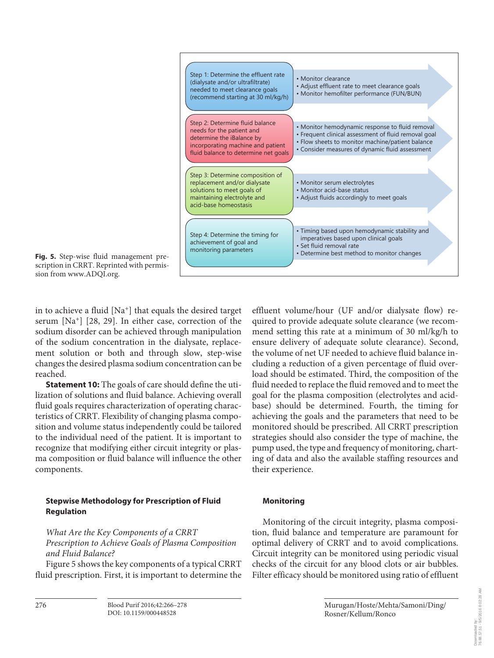

scription in CRRT. Reprinted with permission from www.ADQI.org.

in to achieve a fluid  $[Na^+]$  that equals the desired target serum  $[Na^+]$  [28, 29]. In either case, correction of the sodium disorder can be achieved through manipulation of the sodium concentration in the dialysate, replacement solution or both and through slow, step-wise changes the desired plasma sodium concentration can be reached.

**Statement 10:** The goals of care should define the utilization of solutions and fluid balance. Achieving overall fluid goals requires characterization of operating characteristics of CRRT. Flexibility of changing plasma composition and volume status independently could be tailored to the individual need of the patient. It is important to recognize that modifying either circuit integrity or plasma composition or fluid balance will influence the other components.

# **Stepwise Methodology for Prescription of Fluid Regulation**

 *What Are the Key Components of a CRRT Prescription to Achieve Goals of Plasma Composition and Fluid Balance?* 

 Figure 5 shows the key components of a typical CRRT fluid prescription. First, it is important to determine the effluent volume/hour (UF and/or dialysate flow) required to provide adequate solute clearance (we recommend setting this rate at a minimum of 30 ml/kg/h to ensure delivery of adequate solute clearance). Second, the volume of net UF needed to achieve fluid balance including a reduction of a given percentage of fluid overload should be estimated. Third, the composition of the fluid needed to replace the fluid removed and to meet the goal for the plasma composition (electrolytes and acidbase) should be determined. Fourth, the timing for achieving the goals and the parameters that need to be monitored should be prescribed. All CRRT prescription strategies should also consider the type of machine, the pump used, the type and frequency of monitoring, charting of data and also the available staffing resources and their experience.

# **Monitoring**

 Monitoring of the circuit integrity, plasma composition, fluid balance and temperature are paramount for optimal delivery of CRRT and to avoid complications. Circuit integrity can be monitored using periodic visual checks of the circuit for any blood clots or air bubbles. Filter efficacy should be monitored using ratio of effluent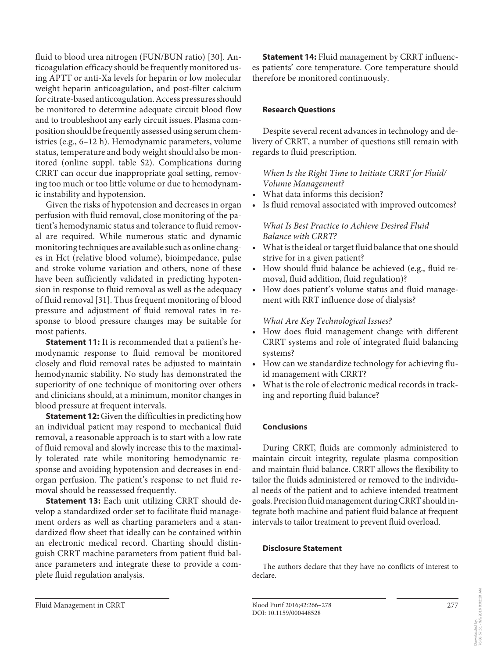fluid to blood urea nitrogen (FUN/BUN ratio) [30]. Anticoagulation efficacy should be frequently monitored using APTT or anti-Xa levels for heparin or low molecular weight heparin anticoagulation, and post-filter calcium for citrate-based anticoagulation. Access pressures should be monitored to determine adequate circuit blood flow and to troubleshoot any early circuit issues. Plasma composition should be frequently assessed using serum chemistries (e.g., 6–12 h). Hemodynamic parameters, volume status, temperature and body weight should also be monitored (online suppl. table S2). Complications during CRRT can occur due inappropriate goal setting, removing too much or too little volume or due to hemodynamic instability and hypotension.

 Given the risks of hypotension and decreases in organ perfusion with fluid removal, close monitoring of the patient's hemodynamic status and tolerance to fluid removal are required. While numerous static and dynamic monitoring techniques are available such as online changes in Hct (relative blood volume), bioimpedance, pulse and stroke volume variation and others, none of these have been sufficiently validated in predicting hypotension in response to fluid removal as well as the adequacy of fluid removal [31]. Thus frequent monitoring of blood pressure and adjustment of fluid removal rates in response to blood pressure changes may be suitable for most patients.

**Statement 11:** It is recommended that a patient's hemodynamic response to fluid removal be monitored closely and fluid removal rates be adjusted to maintain hemodynamic stability. No study has demonstrated the superiority of one technique of monitoring over others and clinicians should, at a minimum, monitor changes in blood pressure at frequent intervals.

**Statement 12:** Given the difficulties in predicting how an individual patient may respond to mechanical fluid removal, a reasonable approach is to start with a low rate of fluid removal and slowly increase this to the maximally tolerated rate while monitoring hemodynamic response and avoiding hypotension and decreases in endorgan perfusion. The patient's response to net fluid removal should be reassessed frequently.

**Statement 13:** Each unit utilizing CRRT should develop a standardized order set to facilitate fluid management orders as well as charting parameters and a standardized flow sheet that ideally can be contained within an electronic medical record. Charting should distinguish CRRT machine parameters from patient fluid balance parameters and integrate these to provide a complete fluid regulation analysis.

**Statement 14:** Fluid management by CRRT influences patients' core temperature. Core temperature should therefore be monitored continuously.

## **Research Questions**

 Despite several recent advances in technology and delivery of CRRT, a number of questions still remain with regards to fluid prescription.

# *When Is the Right Time to Initiate CRRT for Fluid/ Volume Management?*

- What data informs this decision?
- Is fluid removal associated with improved outcomes?

# *What Is Best Practice to Achieve Desired Fluid Balance with CRRT?*

- What is the ideal or target fluid balance that one should strive for in a given patient?
- How should fluid balance be achieved (e.g., fluid removal, fluid addition, fluid regulation)?
- How does patient's volume status and fluid management with RRT influence dose of dialysis?

# *What Are Key Technological Issues?*

- How does fluid management change with different CRRT systems and role of integrated fluid balancing systems?
- How can we standardize technology for achieving fluid management with CRRT?
- What is the role of electronic medical records in tracking and reporting fluid balance?

# **Conclusions**

 During CRRT, fluids are commonly administered to maintain circuit integrity, regulate plasma composition and maintain fluid balance. CRRT allows the flexibility to tailor the fluids administered or removed to the individual needs of the patient and to achieve intended treatment goals. Precision fluid management during CRRT should integrate both machine and patient fluid balance at frequent intervals to tailor treatment to prevent fluid overload.

## **Disclosure Statement**

 The authors declare that they have no conflicts of interest to declare.